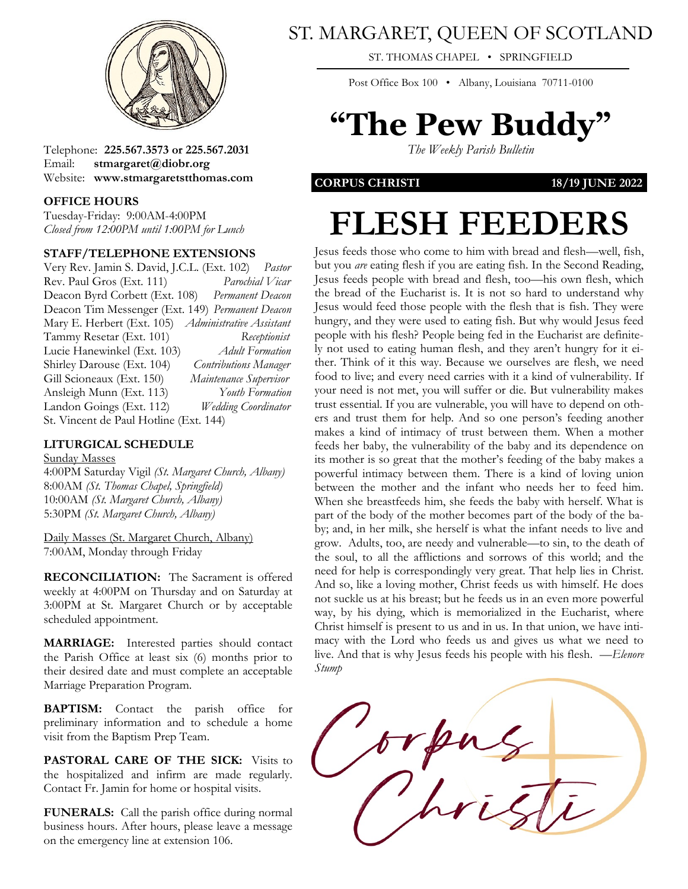

Telephone: **225.567.3573 or 225.567.2031** Email: **stmargaret@diobr.org** Website: **www.stmargaretstthomas.com**

#### **OFFICE HOURS**

Tuesday-Friday: 9:00AM-4:00PM *Closed from 12:00PM until 1:00PM for Lunch*

#### **STAFF/TELEPHONE EXTENSIONS**

Very Rev. Jamin S. David, J.C.L. (Ext. 102) *Pastor* Rev. Paul Gros (Ext. 111) *Parochial Vicar* Deacon Byrd Corbett (Ext. 108) *Permanent Deacon* Deacon Tim Messenger (Ext. 149) *Permanent Deacon* Mary E. Herbert (Ext. 105) *Administrative Assistant* Tammy Resetar (Ext. 101) *Receptionist* Lucie Hanewinkel (Ext. 103) *Adult Formation* Shirley Darouse (Ext. 104) *Contributions Manager* Gill Scioneaux (Ext. 150) *Maintenance Supervisor* Ansleigh Munn (Ext. 113) *Youth Formation* Landon Goings (Ext. 112) *Wedding Coordinator* St. Vincent de Paul Hotline (Ext. 144)

#### **LITURGICAL SCHEDULE**

#### Sunday Masses

4:00PM Saturday Vigil *(St. Margaret Church, Albany)* 8:00AM *(St. Thomas Chapel, Springfield)* 10:00AM *(St. Margaret Church, Albany)* 5:30PM *(St. Margaret Church, Albany)*

Daily Masses (St. Margaret Church, Albany) 7:00AM, Monday through Friday

**RECONCILIATION:** The Sacrament is offered weekly at 4:00PM on Thursday and on Saturday at 3:00PM at St. Margaret Church or by acceptable scheduled appointment.

**MARRIAGE:** Interested parties should contact the Parish Office at least six (6) months prior to their desired date and must complete an acceptable Marriage Preparation Program.

**BAPTISM:** Contact the parish office for preliminary information and to schedule a home visit from the Baptism Prep Team.

PASTORAL CARE OF THE SICK: Visits to the hospitalized and infirm are made regularly. Contact Fr. Jamin for home or hospital visits.

**FUNERALS:** Call the parish office during normal business hours. After hours, please leave a message on the emergency line at extension 106.

# ST. MARGARET, QUEEN OF SCOTLAND

ST. THOMAS CHAPEL • SPRINGFIELD

Post Office Box 100 • Albany, Louisiana 70711-0100

# **"The Pew Buddy"**

*The Weekly Parish Bulletin*

#### **CORPUS CHRISTI 18/19 JUNE 2022**

# **FLESH FEEDERS**

Jesus feeds those who come to him with bread and flesh—well, fish, but you *are* eating flesh if you are eating fish. In the Second Reading, Jesus feeds people with bread and flesh, too—his own flesh, which the bread of the Eucharist is. It is not so hard to understand why Jesus would feed those people with the flesh that is fish. They were hungry, and they were used to eating fish. But why would Jesus feed people with his flesh? People being fed in the Eucharist are definitely not used to eating human flesh, and they aren't hungry for it either. Think of it this way. Because we ourselves are flesh, we need food to live; and every need carries with it a kind of vulnerability. If your need is not met, you will suffer or die. But vulnerability makes trust essential. If you are vulnerable, you will have to depend on others and trust them for help. And so one person's feeding another makes a kind of intimacy of trust between them. When a mother feeds her baby, the vulnerability of the baby and its dependence on its mother is so great that the mother's feeding of the baby makes a powerful intimacy between them. There is a kind of loving union between the mother and the infant who needs her to feed him. When she breastfeeds him, she feeds the baby with herself. What is part of the body of the mother becomes part of the body of the baby; and, in her milk, she herself is what the infant needs to live and grow. Adults, too, are needy and vulnerable—to sin, to the death of the soul, to all the afflictions and sorrows of this world; and the need for help is correspondingly very great. That help lies in Christ. And so, like a loving mother, Christ feeds us with himself. He does not suckle us at his breast; but he feeds us in an even more powerful way, by his dying, which is memorialized in the Eucharist, where Christ himself is present to us and in us. In that union, we have intimacy with the Lord who feeds us and gives us what we need to live. And that is why Jesus feeds his people with his flesh. *—Elenore Stump*

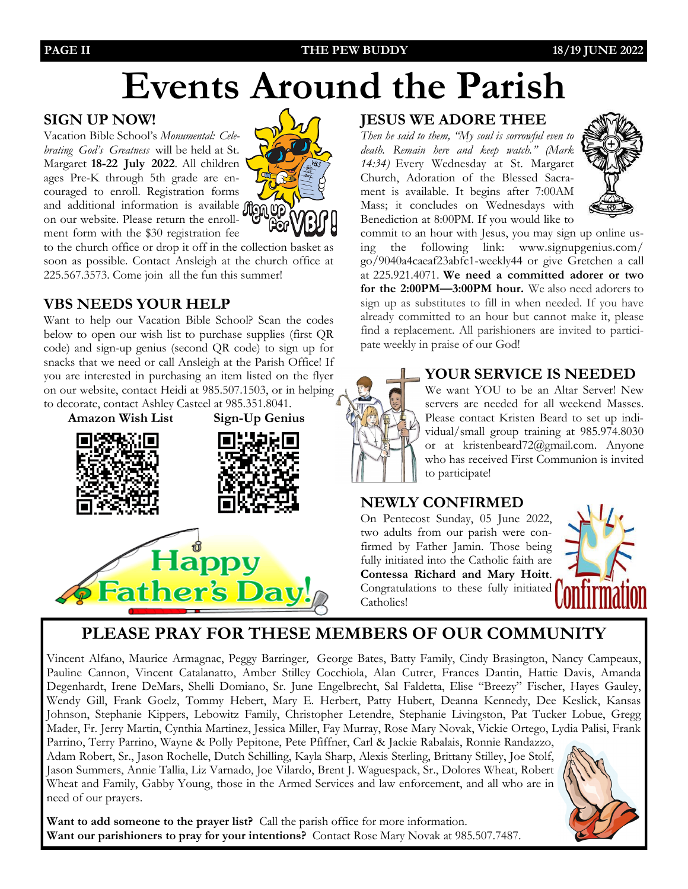#### **PAGE II** THE PEW BUDDY 18/19 JUNE 2022

# **Events Around the Parish**

#### **SIGN UP NOW!**

Vacation Bible School's *Monumental: Celebrating God's Greatness* will be held at St. Margaret **18-22 July 2022**. All children ages Pre-K through 5th grade are encouraged to enroll. Registration forms and additional information is available man on our website. Please return the enrollment form with the \$30 registration fee



to the church office or drop it off in the collection basket as soon as possible. Contact Ansleigh at the church office at 225.567.3573. Come join all the fun this summer!

#### **VBS NEEDS YOUR HELP**

Want to help our Vacation Bible School? Scan the codes below to open our wish list to purchase supplies (first QR code) and sign-up genius (second QR code) to sign up for snacks that we need or call Ansleigh at the Parish Office! If you are interested in purchasing an item listed on the flyer on our website, contact Heidi at 985.507.1503, or in helping to decorate, contact Ashley Casteel at 985.351.8041.



#### **JESUS WE ADORE THEE**

*Then he said to them, "My soul is sorrowful even to death. Remain here and keep watch." (Mark 14:34)* Every Wednesday at St. Margaret Church, Adoration of the Blessed Sacrament is available. It begins after 7:00AM Mass; it concludes on Wednesdays with Benediction at 8:00PM. If you would like to



commit to an hour with Jesus, you may sign up online using the following link: www.signupgenius.com/ go/9040a4caeaf23abfc1-weekly44 or give Gretchen a call at 225.921.4071. **We need a committed adorer or two for the 2:00PM—3:00PM hour.** We also need adorers to sign up as substitutes to fill in when needed. If you have already committed to an hour but cannot make it, please find a replacement. All parishioners are invited to participate weekly in praise of our God!

#### **YOUR SERVICE IS NEEDED**



We want YOU to be an Altar Server! New servers are needed for all weekend Masses. Please contact Kristen Beard to set up individual/small group training at 985.974.8030 or at kristenbeard72@gmail.com. Anyone who has received First Communion is invited to participate!

#### **NEWLY CONFIRMED**

On Pentecost Sunday, 05 June 2022, two adults from our parish were confirmed by Father Jamin. Those being fully initiated into the Catholic faith are **Contessa Richard and Mary Hoitt**. Congratulations to these fully initiated Catholics!



#### **PLEASE PRAY FOR THESE MEMBERS OF OUR COMMUNITY**

Vincent Alfano, Maurice Armagnac, Peggy Barringer, George Bates, Batty Family, Cindy Brasington, Nancy Campeaux, Pauline Cannon, Vincent Catalanatto, Amber Stilley Cocchiola, Alan Cutrer, Frances Dantin, Hattie Davis, Amanda Degenhardt, Irene DeMars, Shelli Domiano, Sr. June Engelbrecht, Sal Faldetta, Elise "Breezy" Fischer, Hayes Gauley, Wendy Gill, Frank Goelz, Tommy Hebert, Mary E. Herbert, Patty Hubert, Deanna Kennedy, Dee Keslick, Kansas Johnson, Stephanie Kippers, Lebowitz Family, Christopher Letendre, Stephanie Livingston, Pat Tucker Lobue, Gregg Mader, Fr. Jerry Martin, Cynthia Martinez, Jessica Miller, Fay Murray, Rose Mary Novak, Vickie Ortego, Lydia Palisi, Frank Parrino, Terry Parrino, Wayne & Polly Pepitone, Pete Pfiffner, Carl & Jackie Rabalais, Ronnie Randazzo,

Adam Robert, Sr., Jason Rochelle, Dutch Schilling, Kayla Sharp, Alexis Sterling, Brittany Stilley, Joe Stolf, Jason Summers, Annie Tallia, Liz Varnado, Joe Vilardo, Brent J. Waguespack, Sr., Dolores Wheat, Robert Wheat and Family, Gabby Young, those in the Armed Services and law enforcement, and all who are in need of our prayers.



**Want to add someone to the prayer list?** Call the parish office for more information. **Want our parishioners to pray for your intentions?** Contact Rose Mary Novak at 985.507.7487.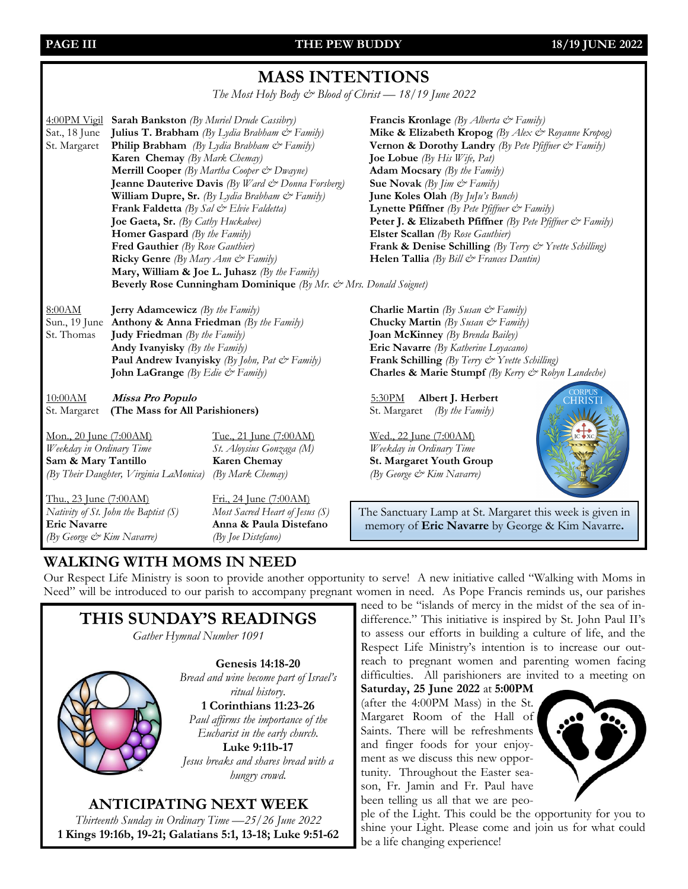#### PAGE III **18/19 JUNE 2022** 2022 THE PEW BUDDY **18/19 JUNE 2022**

### **MASS INTENTIONS**

*The Most Holy Body & Blood of Christ — 18/19 June 2022*

4:00PM Vigil **Sarah Bankston** *(By Muriel Drude Cassibry)* **Francis Kronlage** *(By Alberta & Family)* Sat., 18 June **Julius T. Brabham** *(By Lydia Brabham & Family)* **Mike & Elizabeth Kropog** *(By Alex & Royanne Kropog)* St. Margaret **Philip Brabham** *(By Lydia Brabham & Family)* **Vernon & Dorothy Landry** *(By Pete Pfiffner & Family)* **Karen Chemay** *(By Mark Chemay)* **Joe Lobue** *(By His Wife, Pat)* **Merrill Cooper** *(By Martha Cooper*  $\breve{\infty}$  *Dwayne)* **Adam Mocsary** *(By the Family)* **Jeanne Dauterive Davis** *(By Ward & Donna Forsberg)* Sue Novak *(By Jim & Family)* **William Dupre, Sr.** *(By Lydia Brabham & Family)* **June Koles Olah** *(By JuJu's Bunch)* **Frank Faldetta** *(By Sal*  $\breve{\in}$  *Elvie Faldetta)* **Lynette Pfiffner** *(By Pete Pfiffner*  $\breve{\in}$  *Family)* **Joe Gaeta, Sr.** *(By Cathy Huckabee)* **Peter J. & Elizabeth Pfiffner** *(By Pete Pfiffner*  $\breve{c}$  *Family)* **Homer Gaspard** *(By the Family)* **Elster Scallan** *(By Rose Gauthier)* **Fred Gauthier** *(By Rose Gauthier)* **Frank & Denise Schilling** *(By Terry*  $\breve{c}$  *Yvette Schilling)* **Ricky Genre** *(By Mary Ann & Family)* **Helen Tallia** *(By Bill & Frances Dantin)* **Mary, William & Joe L. Juhasz** *(By the Family)* **Beverly Rose Cunningham Dominique** *(By Mr. & Mrs. Donald Soignet)*

8:00AM **Jerry Adamcewicz** *(By the Family)* **Charlie Martin** *(By Susan & Family)* Sun., 19 June **Anthony & Anna Friedman** *(By the Family)* **Chucky Martin** *(By Susan & Family)* St. Thomas **Judy Friedman** *(By the Family)* **Joan McKinney** *(By Brenda Bailey)* **Andy Ivanyisky** *(By the Family)* **Eric Navarre** *(By Katherine Loyacano)*<br> **Paul Andrew Ivanyisky** *(By John, Pat & Family)* **Frank Schilling** *(By Terry & Yvette Schilling*) **Paul Andrew Ivanyisky** *(By John, Pat & Family)* 

10:00AM **Missa Pro Populo** 5:30PM **Albert J. Herbert** St. Margaret **(The Mass for All Parishioners)** St. Margaret *(By the Family)*

Mon., 20 June (7:00AM) Tue., 21 June (7:00AM) Wed., 22 June (7:00AM) *Weekday in Ordinary Time St. Aloysius Gonzaga (M) Weekday in Ordinary Time* **Sam & Mary Tantillo Karen Chemay St. Margaret Youth Group** *(By Their Daughter, Virginia LaMonica) (By Mark Chemay) (By George & Kim Navarre)*

Thu., 23 June (7:00AM) Fri., 24 June (7:00AM) *Nativity of St. John the Baptist (S) Most Sacred Heart of Jesus (S)* **Eric Navarre Anna & Paula Distefano** *(By George & Kim Navarre) (By Joe Distefano)*

**John LaGrange** *(By Edie & Family)* **Charles & Marie Stumpf** *(By Kerry & Robyn Landeche)* 



The Sanctuary Lamp at St. Margaret this week is given in memory of **Eric Navarre** by George & Kim Navarre**.**

### **WALKING WITH MOMS IN NEED**

Our Respect Life Ministry is soon to provide another opportunity to serve! A new initiative called "Walking with Moms in Need" will be introduced to our parish to accompany pregnant women in need. As Pope Francis reminds us, our parishes

## **THIS SUNDAY'S READINGS**

*Gather Hymnal Number 1091*



**Genesis 14:18-20** *Bread and wine become part of Israel's ritual history.*

**1 Corinthians 11:23-26** *Paul affirms the importance of the Eucharist in the early church.* **Luke 9:11b-17** *Jesus breaks and shares bread with a hungry crowd.*

**ANTICIPATING NEXT WEEK** *Thirteenth Sunday in Ordinary Time —25/26 June 2022* **1 Kings 19:16b, 19-21; Galatians 5:1, 13-18; Luke 9:51-62**

need to be "islands of mercy in the midst of the sea of indifference." This initiative is inspired by St. John Paul II's to assess our efforts in building a culture of life, and the Respect Life Ministry's intention is to increase our outreach to pregnant women and parenting women facing difficulties. All parishioners are invited to a meeting on

**Saturday, 25 June 2022** at **5:00PM**  (after the 4:00PM Mass) in the St. Margaret Room of the Hall of Saints. There will be refreshments and finger foods for your enjoyment as we discuss this new opportunity. Throughout the Easter season, Fr. Jamin and Fr. Paul have been telling us all that we are peo-



ple of the Light. This could be the opportunity for you to shine your Light. Please come and join us for what could be a life changing experience!